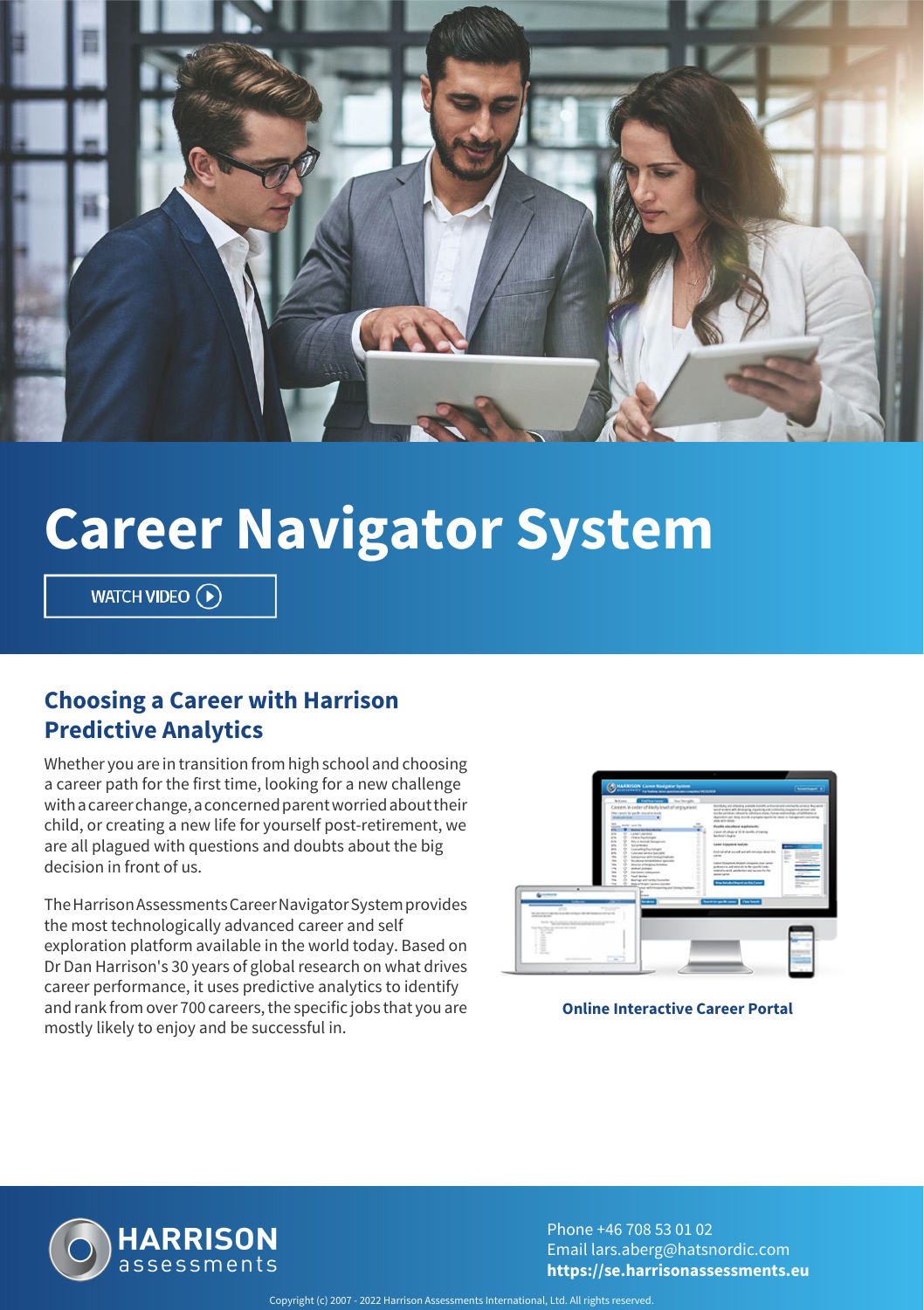

# **Career Navigator System**

WATCH VIDEO  $\left(\widehat{\mathbf{P}}\right)$ 

#### **Choosing a Career with Harrison Predictive Analytics**

Whether you are in transition from high school and choosing a career path for the first time, looking for a new challenge with a career change, a concerned parent worried about their child, or creating a new life for yourself post-retirement, we are all plagued with questions and doubts about the big decision in front of us.

The Harrison Assessments Career Navigator System provides the most technologically advanced career and self exploration platform available in the world today. Based on Dr Dan Harrison's 30 years of global research on what drives career performance, it uses predictive analytics to identify and rank from over 700 careers, the specific jobs that you are mostly likely to enjoy and be successful in.



**Online Interactive Career Portal**



Phone +46 708 53 01 02 Email lars.aberg@hatsnordic.com **https://se.harrisonassessments.eu**